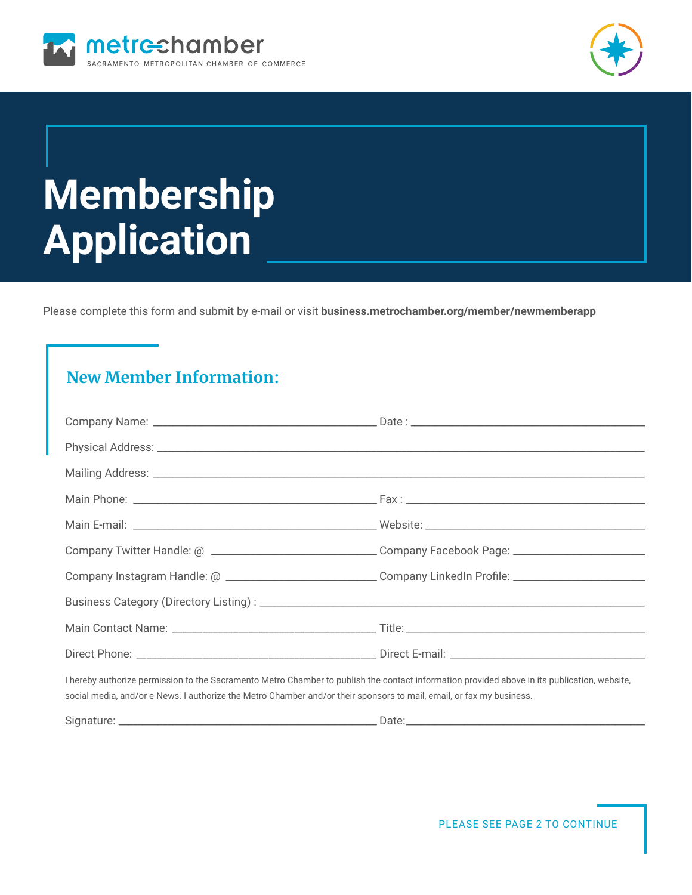



# **Membership Application**

Please complete this form and submit by e-mail or visit **business.metrochamber.org/member/newmemberapp**

## **New Member Information:**

| Company Twitter Handle: @ _________________________________Company Facebook Page: __________________                                                                                                                                                                 |  |  |
|----------------------------------------------------------------------------------------------------------------------------------------------------------------------------------------------------------------------------------------------------------------------|--|--|
| Company Instagram Handle: @ _______________________________Company LinkedIn Profile: _________________________                                                                                                                                                       |  |  |
|                                                                                                                                                                                                                                                                      |  |  |
|                                                                                                                                                                                                                                                                      |  |  |
|                                                                                                                                                                                                                                                                      |  |  |
| I hereby authorize permission to the Sacramento Metro Chamber to publish the contact information provided above in its publication, website,<br>social media, and/or e-News. I authorize the Metro Chamber and/or their sponsors to mail, email, or fax my business. |  |  |
|                                                                                                                                                                                                                                                                      |  |  |